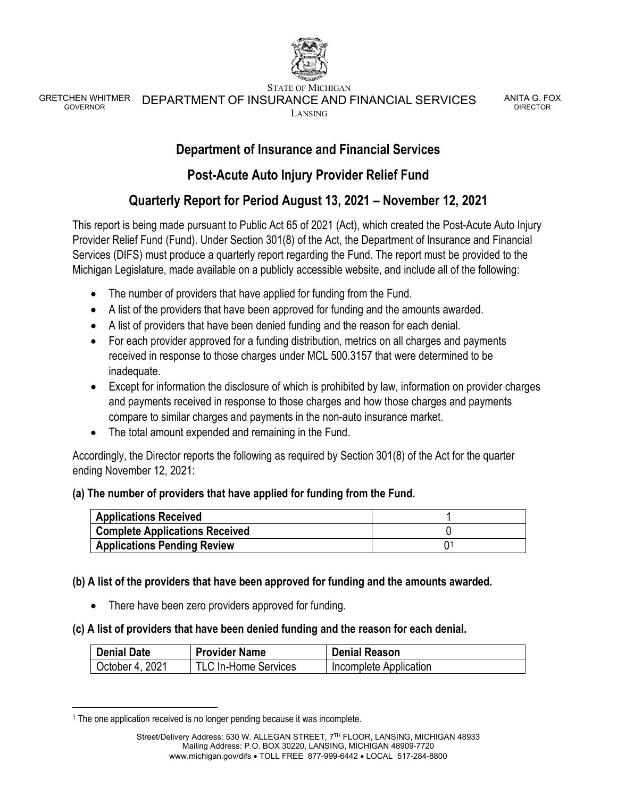

STATE OF MICHIGAN

GRETCHEN WHITMER<br>GOVERNOR DEPARTMENT OF INSURANCE AND FINANCIAL SERVICES LANSING

ANITA G. FOX DIRECTOR

## **Department of Insurance and Financial Services**

## **Post-Acute Auto Injury Provider Relief Fund**

# **Quarterly Report for Period August 13, 2021 – November 12, 2021**

This report is being made pursuant to Public Act 65 of 2021 (Act), which created the Post-Acute Auto Injury Provider Relief Fund (Fund). Under Section 301(8) of the Act, the Department of Insurance and Financial Services (DIFS) must produce a quarterly report regarding the Fund. The report must be provided to the Michigan Legislature, made available on a publicly accessible website, and include all of the following:

- The number of providers that have applied for funding from the Fund.
- A list of the providers that have been approved for funding and the amounts awarded.
- A list of providers that have been denied funding and the reason for each denial.
- For each provider approved for a funding distribution, metrics on all charges and payments received in response to those charges under MCL 500.3157 that were determined to be inadequate.
- Except for information the disclosure of which is prohibited by law, information on provider charges and payments received in response to those charges and how those charges and payments compare to similar charges and payments in the non-auto insurance market.
- The total amount expended and remaining in the Fund.

Accordingly, the Director reports the following as required by Section 301(8) of the Act for the quarter ending November 12, 2021:

### **(a) The number of providers that have applied for funding from the Fund.**

| <b>Applications Received</b>          |  |
|---------------------------------------|--|
| <b>Complete Applications Received</b> |  |
| <b>Applications Pending Review</b>    |  |

### **(b) A list of the providers that have been approved for funding and the amounts awarded.**

• There have been zero providers approved for funding.

### **(c) A list of providers that have been denied funding and the reason for each denial.**

| <b>Denial Date</b> | <b>Provider Name</b>        | <b>Denial Reason</b>   |
|--------------------|-----------------------------|------------------------|
| October 4, 2021    | <b>TLC In-Home Services</b> | Incomplete Application |

<span id="page-0-0"></span><sup>&</sup>lt;sup>1</sup> The one application received is no longer pending because it was incomplete.